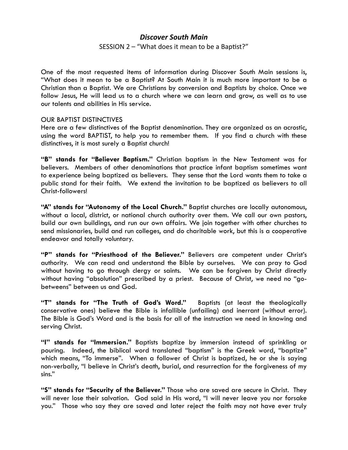# *Discover South Main*

# SESSION 2 – "What does it mean to be a Baptist?"

One of the most requested items of information during Discover South Main sessions is, "What does it mean to be a Baptist? At South Main it is much more important to be a Christian than a Baptist. We are Christians by conversion and Baptists by choice. Once we follow Jesus, He will lead us to a church where we can learn and grow, as well as to use our talents and abilities in His service.

# OUR BAPTIST DISTINCTIVES

Here are a few distinctives of the Baptist denomination. They are organized as an acrostic, using the word BAPTIST, to help you to remember them. If you find a church with these distinctives, it is most surely a Baptist church!

**"B" stands for "Believer Baptism."** Christian baptism in the New Testament was for believers. Members of other denominations that practice infant baptism sometimes want to experience being baptized as believers. They sense that the Lord wants them to take a public stand for their faith. We extend the invitation to be baptized as believers to all Christ-followers!

**"A" stands for "Autonomy of the Local Church."** Baptist churches are locally autonomous, without a local, district, or national church authority over them. We call our own pastors, build our own buildings, and run our own affairs. We join together with other churches to send missionaries, build and run colleges, and do charitable work, but this is a cooperative endeavor and totally voluntary.

**"P" stands for "Priesthood of the Believer."** Believers are competent under Christ's authority. We can read and understand the Bible by ourselves. We can pray to God without having to go through clergy or saints. We can be forgiven by Christ directly without having "absolution" prescribed by a priest. Because of Christ, we need no "gobetweens" between us and God.

**"T" stands for "The Truth of God's Word."** Baptists (at least the theologically conservative ones) believe the Bible is infallible (unfailing) and inerrant (without error). The Bible is God's Word and is the basis for all of the instruction we need in knowing and serving Christ.

**"I" stands for "Immersion."** Baptists baptize by immersion instead of sprinkling or pouring. Indeed, the biblical word translated "baptism" is the Greek word, "baptize" which means, "To immerse". When a follower of Christ is baptized, he or she is saying non-verbally, "I believe in Christ's death, burial, and resurrection for the forgiveness of my sins."

**"S" stands for "Security of the Believer."** Those who are saved are secure in Christ. They will never lose their salvation. God said in His word, "I will never leave you nor forsake you." Those who say they are saved and later reject the faith may not have ever truly